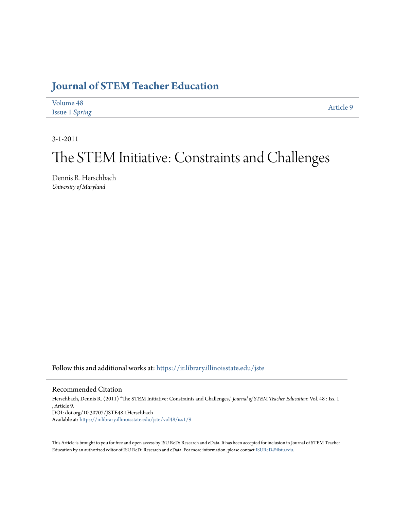## **[Journal of STEM Teacher Education](https://ir.library.illinoisstate.edu/jste?utm_source=ir.library.illinoisstate.edu%2Fjste%2Fvol48%2Fiss1%2F9&utm_medium=PDF&utm_campaign=PDFCoverPages)**

| Volume 48             | Article 9 |
|-----------------------|-----------|
| <b>Issue 1 Spring</b> |           |

3-1-2011

# The STEM Initiative: Constraints and Challenges

Dennis R. Herschbach *University of Maryland*

Follow this and additional works at: [https://ir.library.illinoisstate.edu/jste](https://ir.library.illinoisstate.edu/jste?utm_source=ir.library.illinoisstate.edu%2Fjste%2Fvol48%2Fiss1%2F9&utm_medium=PDF&utm_campaign=PDFCoverPages)

#### Recommended Citation

Herschbach, Dennis R. (2011) "The STEM Initiative: Constraints and Challenges," *Journal of STEM Teacher Education*: Vol. 48 : Iss. 1 , Article 9. DOI: doi.org/10.30707/JSTE48.1Herschbach Available at: [https://ir.library.illinoisstate.edu/jste/vol48/iss1/9](https://ir.library.illinoisstate.edu/jste/vol48/iss1/9?utm_source=ir.library.illinoisstate.edu%2Fjste%2Fvol48%2Fiss1%2F9&utm_medium=PDF&utm_campaign=PDFCoverPages)

This Article is brought to you for free and open access by ISU ReD: Research and eData. It has been accepted for inclusion in Journal of STEM Teacher Education by an authorized editor of ISU ReD: Research and eData. For more information, please contact [ISUReD@ilstu.edu.](mailto:ISUReD@ilstu.edu)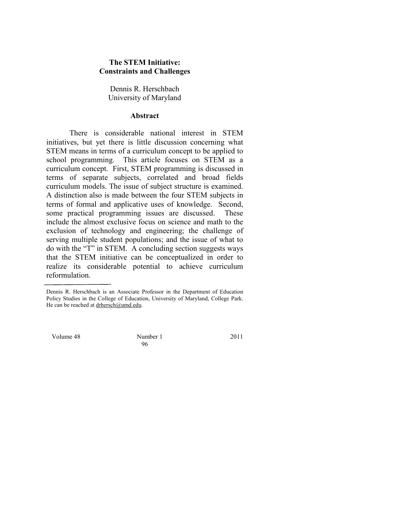#### **The STEM Initiative: Constraints and Challenges**

Dennis R. Herschbach University of Maryland

#### **Abstract**

There is considerable national interest in STEM initiatives, but yet there is little discussion concerning what STEM means in terms of a curriculum concept to be applied to school programming. This article focuses on STEM as a curriculum concept. First, STEM programming is discussed in terms of separate subjects, correlated and broad fields curriculum models. The issue of subject structure is examined. A distinction also is made between the four STEM subjects in terms of formal and applicative uses of knowledge. Second, some practical programming issues are discussed. These include the almost exclusive focus on science and math to the exclusion of technology and engineering; the challenge of serving multiple student populations; and the issue of what to do with the "T" in STEM. A concluding section suggests ways that the STEM initiative can be conceptualized in order to realize its considerable potential to achieve curriculum reformulation.

Volume 48 Number 1 2011

96

Dennis R. Herschbach is an Associate Professor in the Department of Education Policy Studies in the College of Education, University of Maryland, College Park. He can be reached at drhersch@umd.edu.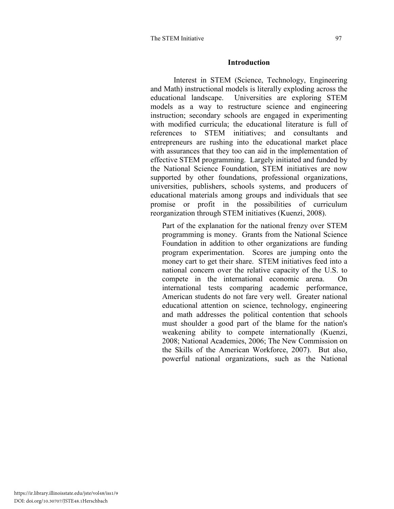#### **Introduction**

Interest in STEM (Science, Technology, Engineering and Math) instructional models is literally exploding across the educational landscape. Universities are exploring STEM models as a way to restructure science and engineering instruction; secondary schools are engaged in experimenting with modified curricula; the educational literature is full of references to STEM initiatives; and consultants and entrepreneurs are rushing into the educational market place with assurances that they too can aid in the implementation of effective STEM programming. Largely initiated and funded by the National Science Foundation, STEM initiatives are now supported by other foundations, professional organizations, universities, publishers, schools systems, and producers of educational materials among groups and individuals that see promise or profit in the possibilities of curriculum reorganization through STEM initiatives (Kuenzi, 2008).

Part of the explanation for the national frenzy over STEM programming is money. Grants from the National Science Foundation in addition to other organizations are funding program experimentation. Scores are jumping onto the money cart to get their share. STEM initiatives feed into a national concern over the relative capacity of the U.S. to compete in the international economic arena. On international tests comparing academic performance, American students do not fare very well. Greater national educational attention on science, technology, engineering and math addresses the political contention that schools must shoulder a good part of the blame for the nation's weakening ability to compete internationally (Kuenzi, 2008; National Academies, 2006; The New Commission on the Skills of the American Workforce, 2007). But also, powerful national organizations, such as the National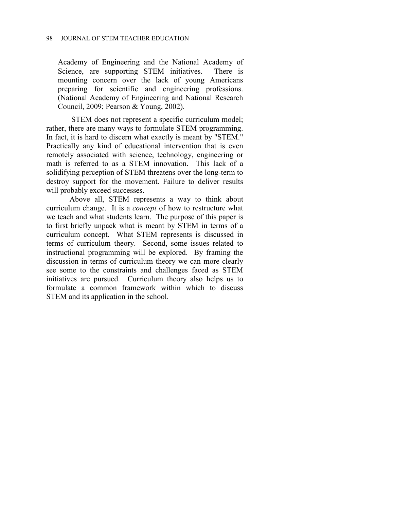Academy of Engineering and the National Academy of Science, are supporting STEM initiatives. There is mounting concern over the lack of young Americans preparing for scientific and engineering professions. (National Academy of Engineering and National Research Council, 2009; Pearson & Young, 2002).

STEM does not represent a specific curriculum model; rather, there are many ways to formulate STEM programming. In fact, it is hard to discern what exactly is meant by "STEM." Practically any kind of educational intervention that is even remotely associated with science, technology, engineering or math is referred to as a STEM innovation. This lack of a solidifying perception of STEM threatens over the long-term to destroy support for the movement. Failure to deliver results will probably exceed successes.

Above all, STEM represents a way to think about curriculum change. It is a *concept* of how to restructure what we teach and what students learn. The purpose of this paper is to first briefly unpack what is meant by STEM in terms of a curriculum concept. What STEM represents is discussed in terms of curriculum theory. Second, some issues related to instructional programming will be explored. By framing the discussion in terms of curriculum theory we can more clearly see some to the constraints and challenges faced as STEM initiatives are pursued. Curriculum theory also helps us to formulate a common framework within which to discuss STEM and its application in the school.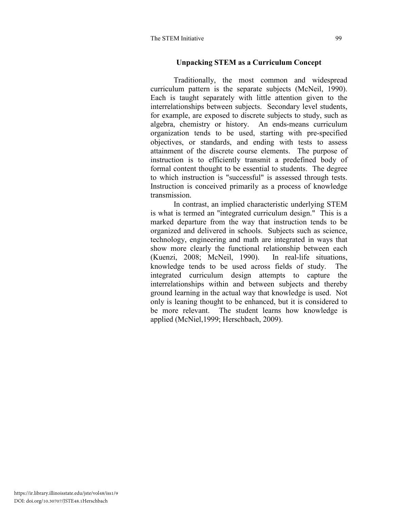#### **Unpacking STEM as a Curriculum Concept**

Traditionally, the most common and widespread curriculum pattern is the separate subjects (McNeil, 1990). Each is taught separately with little attention given to the interrelationships between subjects. Secondary level students, for example, are exposed to discrete subjects to study, such as algebra, chemistry or history. An ends-means curriculum organization tends to be used, starting with pre-specified objectives, or standards, and ending with tests to assess attainment of the discrete course elements. The purpose of instruction is to efficiently transmit a predefined body of formal content thought to be essential to students. The degree to which instruction is "successful" is assessed through tests. Instruction is conceived primarily as a process of knowledge transmission.

In contrast, an implied characteristic underlying STEM is what is termed an "integrated curriculum design." This is a marked departure from the way that instruction tends to be organized and delivered in schools. Subjects such as science, technology, engineering and math are integrated in ways that show more clearly the functional relationship between each (Kuenzi, 2008; McNeil, 1990). In real-life situations, knowledge tends to be used across fields of study. The integrated curriculum design attempts to capture the interrelationships within and between subjects and thereby ground learning in the actual way that knowledge is used. Not only is leaning thought to be enhanced, but it is considered to be more relevant. The student learns how knowledge is applied (McNiel,1999; Herschbach, 2009).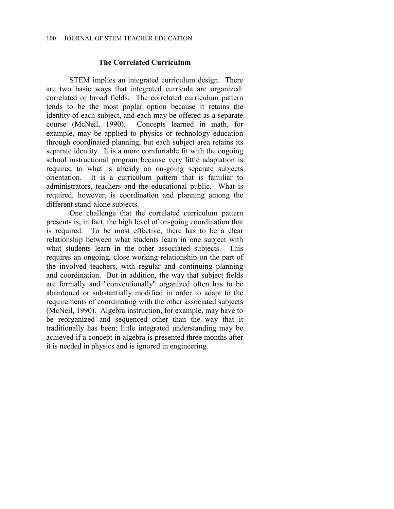#### **The Correlated Curriculum**

STEM implies an integrated curriculum design. There are two basic ways that integrated curricula are organized: correlated or broad fields. The correlated curriculum pattern tends to be the most poplar option because it retains the identity of each subject, and each may be offered as a separate course (McNeil, 1990). Concepts learned in math, for example, may be applied to physics or technology education through coordinated planning, but each subject area retains its separate identity. It is a more comfortable fit with the ongoing school instructional program because very little adaptation is required to what is already an on-going separate subjects orientation. It is a curriculum pattern that is familiar to administrators, teachers and the educational public. What is required, however, is coordination and planning among the different stand-alone subjects.

One challenge that the correlated curriculum pattern presents is, in fact, the high level of on-going coordination that is required. To be most effective, there has to be a clear relationship between what students learn in one subject with what students learn in the other associated subjects. This requires an ongoing, close working relationship on the part of the involved teachers, with regular and continuing planning and coordination. But in addition, the way that subject fields are formally and "conventionally" organized often has to be abandoned or substantially modified in order to adapt to the requirements of coordinating with the other associated subjects (McNeil, 1990). Algebra instruction, for example, may have to be reorganized and sequenced other than the way that it traditionally has been: little integrated understanding may be achieved if a concept in algebra is presented three months after it is needed in physics and is ignored in engineering.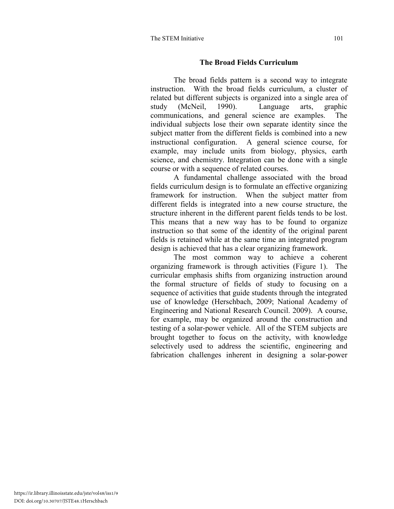#### **The Broad Fields Curriculum**

The broad fields pattern is a second way to integrate instruction. With the broad fields curriculum, a cluster of related but different subjects is organized into a single area of study (McNeil, 1990). Language arts, graphic communications, and general science are examples. The individual subjects lose their own separate identity since the subject matter from the different fields is combined into a new instructional configuration. A general science course, for example, may include units from biology, physics, earth science, and chemistry. Integration can be done with a single course or with a sequence of related courses.

A fundamental challenge associated with the broad fields curriculum design is to formulate an effective organizing framework for instruction. When the subject matter from different fields is integrated into a new course structure, the structure inherent in the different parent fields tends to be lost. This means that a new way has to be found to organize instruction so that some of the identity of the original parent fields is retained while at the same time an integrated program design is achieved that has a clear organizing framework.

The most common way to achieve a coherent organizing framework is through activities (Figure 1). The curricular emphasis shifts from organizing instruction around the formal structure of fields of study to focusing on a sequence of activities that guide students through the integrated use of knowledge (Herschbach, 2009; National Academy of Engineering and National Research Council. 2009). A course, for example, may be organized around the construction and testing of a solar-power vehicle. All of the STEM subjects are brought together to focus on the activity, with knowledge selectively used to address the scientific, engineering and fabrication challenges inherent in designing a solar-power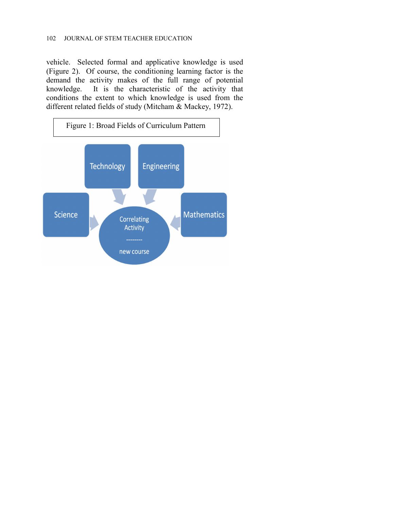vehicle. Selected formal and applicative knowledge is used (Figure 2). Of course, the conditioning learning factor is the demand the activity makes of the full range of potential knowledge. It is the characteristic of the activity that conditions the extent to which knowledge is used from the different related fields of study (Mitcham & Mackey, 1972).

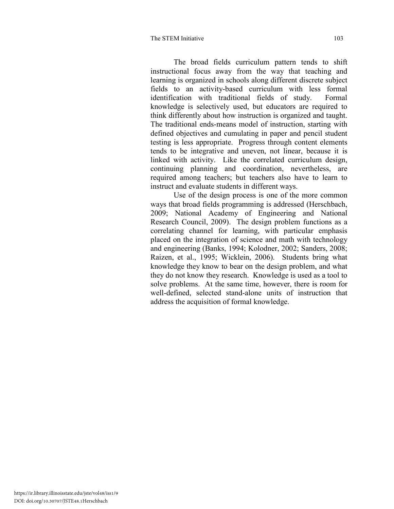The broad fields curriculum pattern tends to shift instructional focus away from the way that teaching and learning is organized in schools along different discrete subject fields to an activity-based curriculum with less formal identification with traditional fields of study. Formal knowledge is selectively used, but educators are required to think differently about how instruction is organized and taught. The traditional ends-means model of instruction, starting with defined objectives and cumulating in paper and pencil student testing is less appropriate. Progress through content elements tends to be integrative and uneven, not linear, because it is linked with activity. Like the correlated curriculum design, continuing planning and coordination, nevertheless, are required among teachers; but teachers also have to learn to instruct and evaluate students in different ways.

Use of the design process is one of the more common ways that broad fields programming is addressed (Herschbach, 2009; National Academy of Engineering and National Research Council, 2009). The design problem functions as a correlating channel for learning, with particular emphasis placed on the integration of science and math with technology and engineering (Banks, 1994; Kolodner, 2002; Sanders, 2008; Raizen, et al., 1995; Wicklein, 2006). Students bring what knowledge they know to bear on the design problem, and what they do not know they research. Knowledge is used as a tool to solve problems. At the same time, however, there is room for well-defined, selected stand-alone units of instruction that address the acquisition of formal knowledge.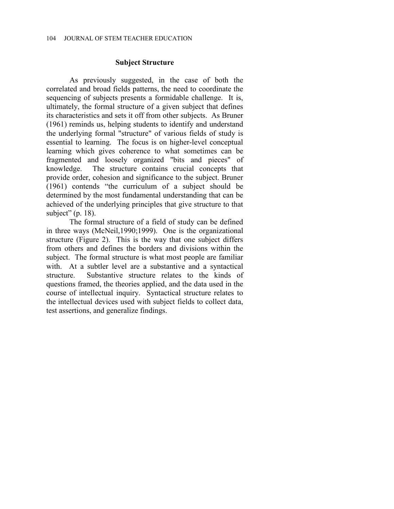#### **Subject Structure**

As previously suggested, in the case of both the correlated and broad fields patterns, the need to coordinate the sequencing of subjects presents a formidable challenge. It is, ultimately, the formal structure of a given subject that defines its characteristics and sets it off from other subjects. As Bruner (1961) reminds us, helping students to identify and understand the underlying formal "structure" of various fields of study is essential to learning. The focus is on higher-level conceptual learning which gives coherence to what sometimes can be fragmented and loosely organized "bits and pieces" of knowledge. The structure contains crucial concepts that provide order, cohesion and significance to the subject. Bruner (1961) contends "the curriculum of a subject should be determined by the most fundamental understanding that can be achieved of the underlying principles that give structure to that subject" (p. 18).

The formal structure of a field of study can be defined in three ways (McNeil,1990;1999). One is the organizational structure (Figure 2). This is the way that one subject differs from others and defines the borders and divisions within the subject. The formal structure is what most people are familiar with. At a subtler level are a substantive and a syntactical structure. Substantive structure relates to the kinds of questions framed, the theories applied, and the data used in the course of intellectual inquiry. Syntactical structure relates to the intellectual devices used with subject fields to collect data, test assertions, and generalize findings.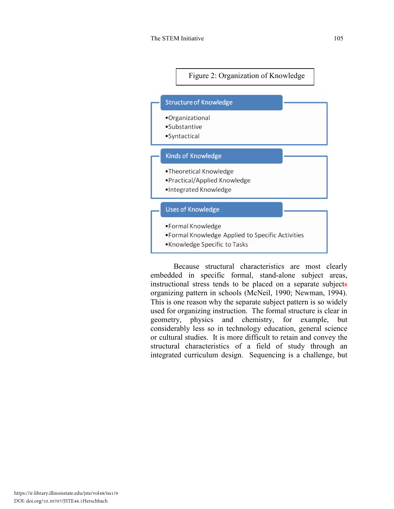

Because structural characteristics are most clearly embedded in specific formal, stand-alone subject areas, instructional stress tends to be placed on a separate subjects organizing pattern in schools (McNeil, 1990; Newman, 1994). This is one reason why the separate subject pattern is so widely used for organizing instruction. The formal structure is clear in geometry, physics and chemistry, for example, but considerably less so in technology education, general science or cultural studies. It is more difficult to retain and convey the structural characteristics of a field of study through an integrated curriculum design. Sequencing is a challenge, but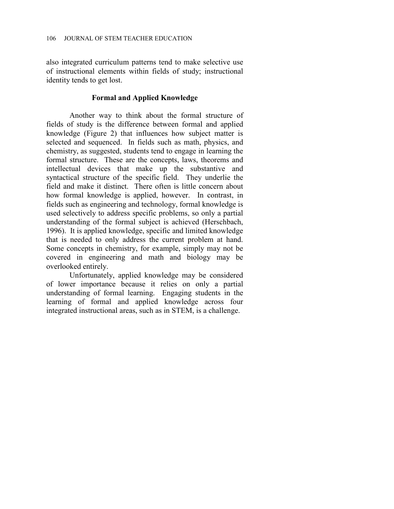also integrated curriculum patterns tend to make selective use of instructional elements within fields of study; instructional identity tends to get lost.

#### **Formal and Applied Knowledge**

Another way to think about the formal structure of fields of study is the difference between formal and applied knowledge (Figure 2) that influences how subject matter is selected and sequenced. In fields such as math, physics, and chemistry, as suggested, students tend to engage in learning the formal structure. These are the concepts, laws, theorems and intellectual devices that make up the substantive and syntactical structure of the specific field. They underlie the field and make it distinct. There often is little concern about how formal knowledge is applied, however. In contrast, in fields such as engineering and technology, formal knowledge is used selectively to address specific problems, so only a partial understanding of the formal subject is achieved (Herschbach, 1996). It is applied knowledge, specific and limited knowledge that is needed to only address the current problem at hand. Some concepts in chemistry, for example, simply may not be covered in engineering and math and biology may be overlooked entirely.

Unfortunately, applied knowledge may be considered of lower importance because it relies on only a partial understanding of formal learning. Engaging students in the learning of formal and applied knowledge across four integrated instructional areas, such as in STEM, is a challenge.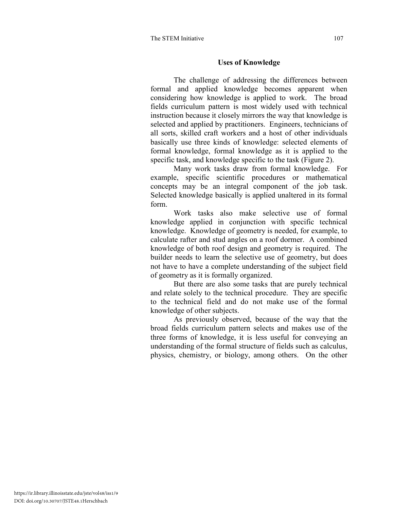#### **Uses of Knowledge**

The challenge of addressing the differences between formal and applied knowledge becomes apparent when considering how knowledge is applied to work. The broad fields curriculum pattern is most widely used with technical instruction because it closely mirrors the way that knowledge is selected and applied by practitioners. Engineers, technicians of all sorts, skilled craft workers and a host of other individuals basically use three kinds of knowledge: selected elements of formal knowledge, formal knowledge as it is applied to the specific task, and knowledge specific to the task (Figure 2).

Many work tasks draw from formal knowledge. For example, specific scientific procedures or mathematical concepts may be an integral component of the job task. Selected knowledge basically is applied unaltered in its formal form.

Work tasks also make selective use of formal knowledge applied in conjunction with specific technical knowledge. Knowledge of geometry is needed, for example, to calculate rafter and stud angles on a roof dormer. A combined knowledge of both roof design and geometry is required. The builder needs to learn the selective use of geometry, but does not have to have a complete understanding of the subject field of geometry as it is formally organized.

But there are also some tasks that are purely technical and relate solely to the technical procedure. They are specific to the technical field and do not make use of the formal knowledge of other subjects.

As previously observed, because of the way that the broad fields curriculum pattern selects and makes use of the three forms of knowledge, it is less useful for conveying an understanding of the formal structure of fields such as calculus, physics, chemistry, or biology, among others. On the other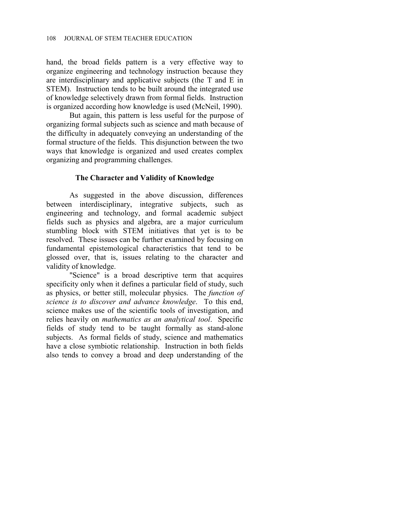hand, the broad fields pattern is a very effective way to organize engineering and technology instruction because they are interdisciplinary and applicative subjects (the T and E in STEM). Instruction tends to be built around the integrated use of knowledge selectively drawn from formal fields. Instruction is organized according how knowledge is used (McNeil, 1990).

But again, this pattern is less useful for the purpose of organizing formal subjects such as science and math because of the difficulty in adequately conveying an understanding of the formal structure of the fields. This disjunction between the two ways that knowledge is organized and used creates complex organizing and programming challenges.

#### **The Character and Validity of Knowledge**

As suggested in the above discussion, differences between interdisciplinary, integrative subjects, such as engineering and technology, and formal academic subject fields such as physics and algebra, are a major curriculum stumbling block with STEM initiatives that yet is to be resolved. These issues can be further examined by focusing on fundamental epistemological characteristics that tend to be glossed over, that is, issues relating to the character and validity of knowledge.

"Science" is a broad descriptive term that acquires specificity only when it defines a particular field of study, such as physics, or better still, molecular physics. The *function of science is to discover and advance knowledge*. To this end, science makes use of the scientific tools of investigation, and relies heavily on *mathematics as an analytical tool*. Specific fields of study tend to be taught formally as stand-alone subjects. As formal fields of study, science and mathematics have a close symbiotic relationship. Instruction in both fields also tends to convey a broad and deep understanding of the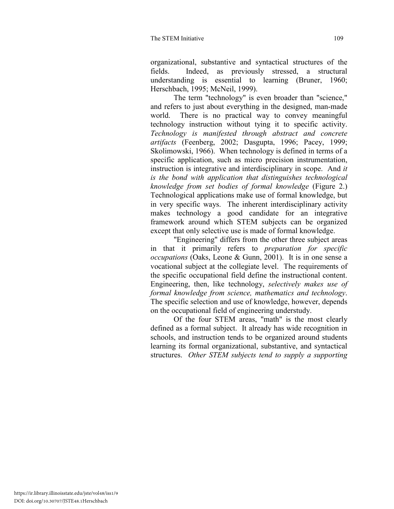organizational, substantive and syntactical structures of the fields. Indeed, as previously stressed, a structural understanding is essential to learning (Bruner, 1960; Herschbach, 1995; McNeil, 1999).

The term "technology" is even broader than "science," and refers to just about everything in the designed, man-made world. There is no practical way to convey meaningful technology instruction without tying it to specific activity. *Technology is manifested through abstract and concrete artifacts* (Feenberg, 2002; Dasgupta, 1996; Pacey, 1999; Skolimowski, 1966). When technology is defined in terms of a specific application, such as micro precision instrumentation, instruction is integrative and interdisciplinary in scope. And *it is the bond with application that distinguishes technological knowledge from set bodies of formal knowledge* (Figure 2.) Technological applications make use of formal knowledge, but in very specific ways. The inherent interdisciplinary activity makes technology a good candidate for an integrative framework around which STEM subjects can be organized except that only selective use is made of formal knowledge.

"Engineering" differs from the other three subject areas in that it primarily refers to *preparation for specific occupations* (Oaks, Leone & Gunn, 2001). It is in one sense a vocational subject at the collegiate level. The requirements of the specific occupational field define the instructional content. Engineering, then, like technology, *selectively makes use of formal knowledge from science, mathematics and technology*. The specific selection and use of knowledge, however, depends on the occupational field of engineering understudy.

Of the four STEM areas, "math" is the most clearly defined as a formal subject. It already has wide recognition in schools, and instruction tends to be organized around students learning its formal organizational, substantive, and syntactical structures. *Other STEM subjects tend to supply a supporting*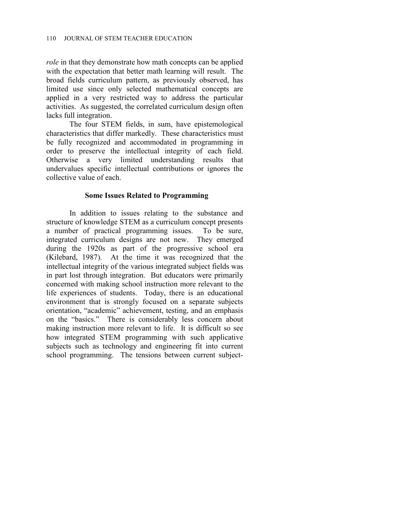*role* in that they demonstrate how math concepts can be applied with the expectation that better math learning will result. The broad fields curriculum pattern, as previously observed, has limited use since only selected mathematical concepts are applied in a very restricted way to address the particular activities. As suggested, the correlated curriculum design often lacks full integration.

The four STEM fields, in sum, have epistemological characteristics that differ markedly. These characteristics must be fully recognized and accommodated in programming in order to preserve the intellectual integrity of each field. Otherwise a very limited understanding results that undervalues specific intellectual contributions or ignores the collective value of each.

#### **Some Issues Related to Programming**

In addition to issues relating to the substance and structure of knowledge STEM as a curriculum concept presents a number of practical programming issues. To be sure, integrated curriculum designs are not new. They emerged during the 1920s as part of the progressive school era (Kilebard, 1987). At the time it was recognized that the intellectual integrity of the various integrated subject fields was in part lost through integration. But educators were primarily concerned with making school instruction more relevant to the life experiences of students. Today, there is an educational environment that is strongly focused on a separate subjects orientation, "academic" achievement, testing, and an emphasis on the "basics." There is considerably less concern about making instruction more relevant to life. It is difficult so see how integrated STEM programming with such applicative subjects such as technology and engineering fit into current school programming. The tensions between current subject-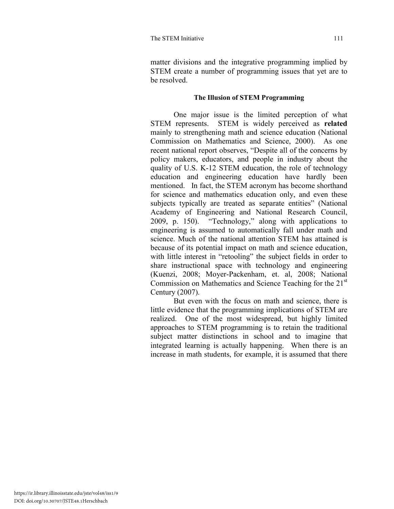matter divisions and the integrative programming implied by STEM create a number of programming issues that yet are to be resolved.

### **The Illusion of STEM Programming**

One major issue is the limited perception of what STEM represents. STEM is widely perceived as **related** mainly to strengthening math and science education (National Commission on Mathematics and Science, 2000). As one recent national report observes, "Despite all of the concerns by policy makers, educators, and people in industry about the quality of U.S. K-12 STEM education, the role of technology education and engineering education have hardly been mentioned. In fact, the STEM acronym has become shorthand for science and mathematics education only, and even these subjects typically are treated as separate entities" (National Academy of Engineering and National Research Council, 2009, p. 150). "Technology," along with applications to engineering is assumed to automatically fall under math and science. Much of the national attention STEM has attained is because of its potential impact on math and science education, with little interest in "retooling" the subject fields in order to share instructional space with technology and engineering (Kuenzi, 2008; Moyer-Packenham, et. al, 2008; National Commission on Mathematics and Science Teaching for the 21<sup>st</sup> Century (2007).

But even with the focus on math and science, there is little evidence that the programming implications of STEM are realized. One of the most widespread, but highly limited approaches to STEM programming is to retain the traditional subject matter distinctions in school and to imagine that integrated learning is actually happening. When there is an increase in math students, for example, it is assumed that there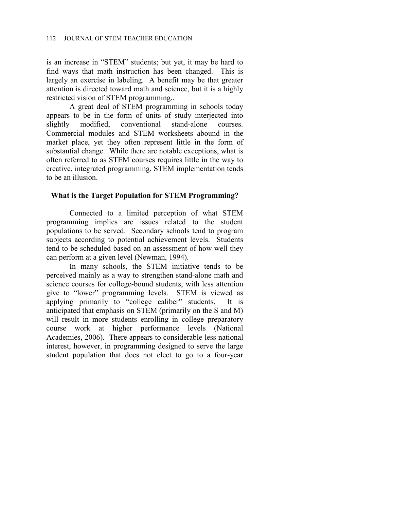is an increase in "STEM" students; but yet, it may be hard to find ways that math instruction has been changed. This is largely an exercise in labeling. A benefit may be that greater attention is directed toward math and science, but it is a highly restricted vision of STEM programming..

A great deal of STEM programming in schools today appears to be in the form of units of study interjected into slightly modified, conventional stand-alone courses. Commercial modules and STEM worksheets abound in the market place, yet they often represent little in the form of substantial change. While there are notable exceptions, what is often referred to as STEM courses requires little in the way to creative, integrated programming. STEM implementation tends to be an illusion.

#### **What is the Target Population for STEM Programming?**

Connected to a limited perception of what STEM programming implies are issues related to the student populations to be served. Secondary schools tend to program subjects according to potential achievement levels. Students tend to be scheduled based on an assessment of how well they can perform at a given level (Newman, 1994).

In many schools, the STEM initiative tends to be perceived mainly as a way to strengthen stand-alone math and science courses for college-bound students, with less attention give to "lower" programming levels. STEM is viewed as applying primarily to "college caliber" students. It is anticipated that emphasis on STEM (primarily on the S and M) will result in more students enrolling in college preparatory course work at higher performance levels (National Academies, 2006). There appears to considerable less national interest, however, in programming designed to serve the large student population that does not elect to go to a four-year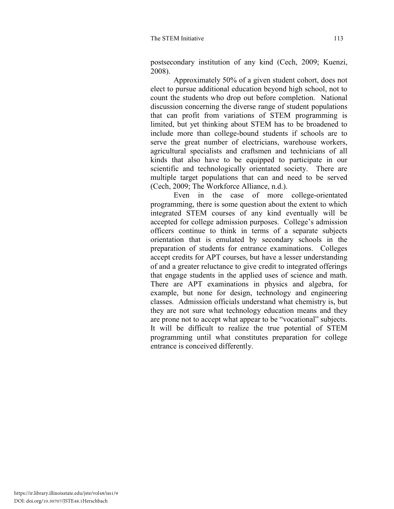postsecondary institution of any kind (Cech, 2009; Kuenzi, 2008).

Approximately 50% of a given student cohort, does not elect to pursue additional education beyond high school, not to count the students who drop out before completion. National discussion concerning the diverse range of student populations that can profit from variations of STEM programming is limited, but yet thinking about STEM has to be broadened to include more than college-bound students if schools are to serve the great number of electricians, warehouse workers, agricultural specialists and craftsmen and technicians of all kinds that also have to be equipped to participate in our scientific and technologically orientated society. There are multiple target populations that can and need to be served (Cech, 2009; The Workforce Alliance, n.d.).

Even in the case of more college-orientated programming, there is some question about the extent to which integrated STEM courses of any kind eventually will be accepted for college admission purposes. College's admission officers continue to think in terms of a separate subjects orientation that is emulated by secondary schools in the preparation of students for entrance examinations. Colleges accept credits for APT courses, but have a lesser understanding of and a greater reluctance to give credit to integrated offerings that engage students in the applied uses of science and math. There are APT examinations in physics and algebra, for example, but none for design, technology and engineering classes. Admission officials understand what chemistry is, but they are not sure what technology education means and they are prone not to accept what appear to be "vocational" subjects. It will be difficult to realize the true potential of STEM programming until what constitutes preparation for college entrance is conceived differently.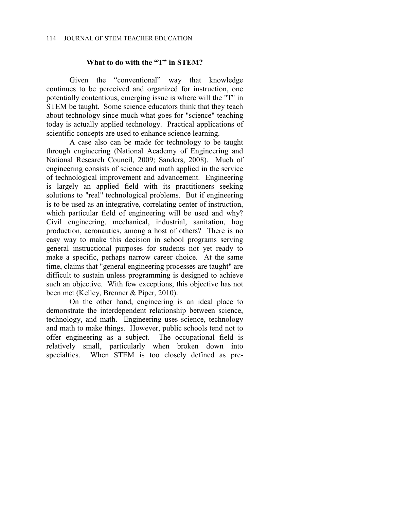#### **What to do with the "T" in STEM?**

Given the "conventional" way that knowledge continues to be perceived and organized for instruction, one potentially contentious, emerging issue is where will the "T" in STEM be taught. Some science educators think that they teach about technology since much what goes for "science" teaching today is actually applied technology. Practical applications of scientific concepts are used to enhance science learning.

A case also can be made for technology to be taught through engineering (National Academy of Engineering and National Research Council, 2009; Sanders, 2008). Much of engineering consists of science and math applied in the service of technological improvement and advancement. Engineering is largely an applied field with its practitioners seeking solutions to "real" technological problems. But if engineering is to be used as an integrative, correlating center of instruction, which particular field of engineering will be used and why? Civil engineering, mechanical, industrial, sanitation, hog production, aeronautics, among a host of others? There is no easy way to make this decision in school programs serving general instructional purposes for students not yet ready to make a specific, perhaps narrow career choice. At the same time, claims that "general engineering processes are taught" are difficult to sustain unless programming is designed to achieve such an objective. With few exceptions, this objective has not been met (Kelley, Brenner & Piper, 2010).

On the other hand, engineering is an ideal place to demonstrate the interdependent relationship between science, technology, and math. Engineering uses science, technology and math to make things. However, public schools tend not to offer engineering as a subject. The occupational field is relatively small, particularly when broken down into specialties. When STEM is too closely defined as pre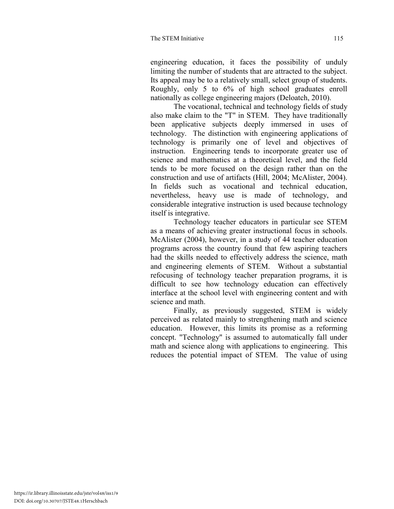engineering education, it faces the possibility of unduly limiting the number of students that are attracted to the subject. Its appeal may be to a relatively small, select group of students. Roughly, only 5 to 6% of high school graduates enroll nationally as college engineering majors (Deloatch, 2010).

The vocational, technical and technology fields of study also make claim to the "T" in STEM. They have traditionally been applicative subjects deeply immersed in uses of technology. The distinction with engineering applications of technology is primarily one of level and objectives of instruction. Engineering tends to incorporate greater use of science and mathematics at a theoretical level, and the field tends to be more focused on the design rather than on the construction and use of artifacts (Hill, 2004; McAlister, 2004). In fields such as vocational and technical education, nevertheless, heavy use is made of technology, and considerable integrative instruction is used because technology itself is integrative.

Technology teacher educators in particular see STEM as a means of achieving greater instructional focus in schools. McAlister (2004), however, in a study of 44 teacher education programs across the country found that few aspiring teachers had the skills needed to effectively address the science, math and engineering elements of STEM. Without a substantial refocusing of technology teacher preparation programs, it is difficult to see how technology education can effectively interface at the school level with engineering content and with science and math.

Finally, as previously suggested, STEM is widely perceived as related mainly to strengthening math and science education. However, this limits its promise as a reforming concept. "Technology" is assumed to automatically fall under math and science along with applications to engineering. This reduces the potential impact of STEM. The value of using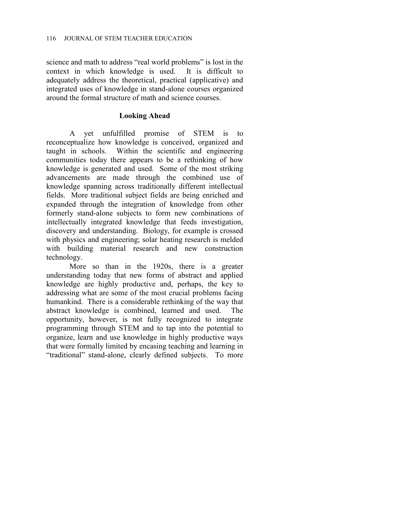#### 116 JOURNAL OF STEM TEACHER EDUCATION

science and math to address "real world problems" is lost in the context in which knowledge is used. It is difficult to adequately address the theoretical, practical (applicative) and integrated uses of knowledge in stand-alone courses organized around the formal structure of math and science courses.

#### **Looking Ahead**

A yet unfulfilled promise of STEM is to reconceptualize how knowledge is conceived, organized and taught in schools. Within the scientific and engineering communities today there appears to be a rethinking of how knowledge is generated and used. Some of the most striking advancements are made through the combined use of knowledge spanning across traditionally different intellectual fields. More traditional subject fields are being enriched and expanded through the integration of knowledge from other formerly stand-alone subjects to form new combinations of intellectually integrated knowledge that feeds investigation, discovery and understanding. Biology, for example is crossed with physics and engineering; solar heating research is melded with building material research and new construction technology.

More so than in the 1920s, there is a greater understanding today that new forms of abstract and applied knowledge are highly productive and, perhaps, the key to addressing what are some of the most crucial problems facing humankind. There is a considerable rethinking of the way that abstract knowledge is combined, learned and used. The opportunity, however, is not fully recognized to integrate programming through STEM and to tap into the potential to organize, learn and use knowledge in highly productive ways that were formally limited by encasing teaching and learning in "traditional" stand-alone, clearly defined subjects. To more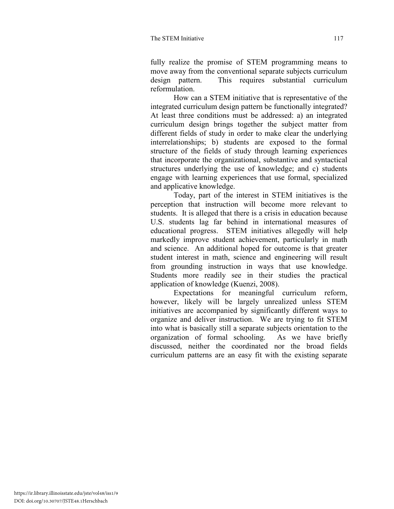fully realize the promise of STEM programming means to move away from the conventional separate subjects curriculum design pattern. This requires substantial curriculum reformulation.

How can a STEM initiative that is representative of the integrated curriculum design pattern be functionally integrated? At least three conditions must be addressed: a) an integrated curriculum design brings together the subject matter from different fields of study in order to make clear the underlying interrelationships; b) students are exposed to the formal structure of the fields of study through learning experiences that incorporate the organizational, substantive and syntactical structures underlying the use of knowledge; and c) students engage with learning experiences that use formal, specialized and applicative knowledge.

Today, part of the interest in STEM initiatives is the perception that instruction will become more relevant to students. It is alleged that there is a crisis in education because U.S. students lag far behind in international measures of educational progress. STEM initiatives allegedly will help markedly improve student achievement, particularly in math and science. An additional hoped for outcome is that greater student interest in math, science and engineering will result from grounding instruction in ways that use knowledge. Students more readily see in their studies the practical application of knowledge (Kuenzi, 2008).

Expectations for meaningful curriculum reform, however, likely will be largely unrealized unless STEM initiatives are accompanied by significantly different ways to organize and deliver instruction. We are trying to fit STEM into what is basically still a separate subjects orientation to the organization of formal schooling. As we have briefly discussed, neither the coordinated nor the broad fields curriculum patterns are an easy fit with the existing separate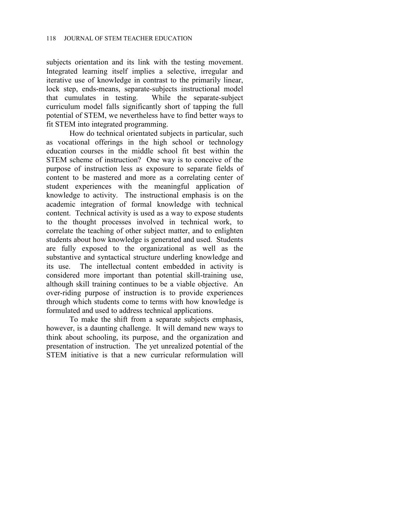subjects orientation and its link with the testing movement. Integrated learning itself implies a selective, irregular and iterative use of knowledge in contrast to the primarily linear, lock step, ends-means, separate-subjects instructional model that cumulates in testing. While the separate-subject curriculum model falls significantly short of tapping the full potential of STEM, we nevertheless have to find better ways to fit STEM into integrated programming.

How do technical orientated subjects in particular, such as vocational offerings in the high school or technology education courses in the middle school fit best within the STEM scheme of instruction? One way is to conceive of the purpose of instruction less as exposure to separate fields of content to be mastered and more as a correlating center of student experiences with the meaningful application of knowledge to activity. The instructional emphasis is on the academic integration of formal knowledge with technical content. Technical activity is used as a way to expose students to the thought processes involved in technical work, to correlate the teaching of other subject matter, and to enlighten students about how knowledge is generated and used. Students are fully exposed to the organizational as well as the substantive and syntactical structure underling knowledge and its use. The intellectual content embedded in activity is considered more important than potential skill-training use, although skill training continues to be a viable objective. An over-riding purpose of instruction is to provide experiences through which students come to terms with how knowledge is formulated and used to address technical applications.

To make the shift from a separate subjects emphasis, however, is a daunting challenge. It will demand new ways to think about schooling, its purpose, and the organization and presentation of instruction. The yet unrealized potential of the STEM initiative is that a new curricular reformulation will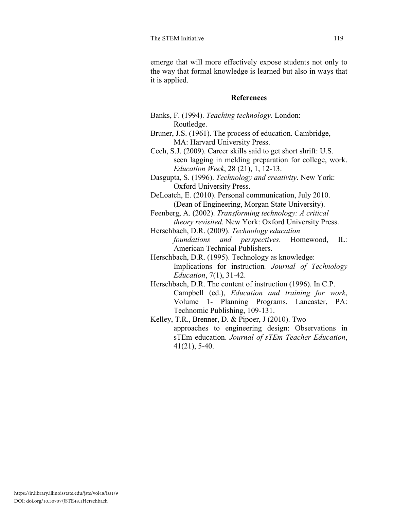emerge that will more effectively expose students not only to the way that formal knowledge is learned but also in ways that it is applied.

#### **References**

- Banks, F. (1994). *Teaching technology*. London: Routledge.
- Bruner, J.S. (1961). The process of education. Cambridge, MA: Harvard University Press.
- Cech, S.J. (2009). Career skills said to get short shrift: U.S. seen lagging in melding preparation for college, work. *Education Week*, 28 (21), 1, 12-13.
- Dasgupta, S. (1996). *Technology and creativity*. New York: Oxford University Press.
- DeLoatch, E. (2010). Personal communication, July 2010. (Dean of Engineering, Morgan State University).
- Feenberg, A. (2002). *Transforming technology: A critical theory revisited*. New York: Oxford University Press.
- Herschbach, D.R. (2009). *Technology education foundations and perspectives*. Homewood, IL: American Technical Publishers.
- Herschbach, D.R. (1995). Technology as knowledge: Implications for instruction*. Journal of Technology Education*, 7(1), 31-42.
- Herschbach, D.R. The content of instruction (1996). In C.P. Campbell (ed.), *Education and training for work*, Volume 1- Planning Programs. Lancaster, PA: Technomic Publishing, 109-131.
- Kelley, T.R., Brenner, D. & Pipoer, J (2010). Two approaches to engineering design: Observations in sTEm education. *Journal of sTEm Teacher Education*, 41(21), 5-40.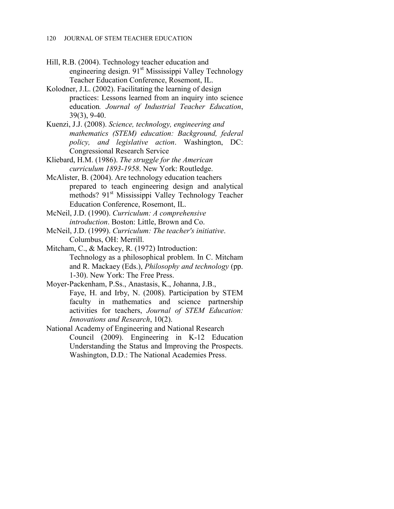- Hill, R.B. (2004). Technology teacher education and engineering design. 91<sup>st</sup> Mississippi Valley Technology Teacher Education Conference, Rosemont, IL.
- Kolodner, J.L. (2002). Facilitating the learning of design practices: Lessons learned from an inquiry into science education*. Journal of Industrial Teacher Education*, 39(3), 9-40.
- Kuenzi, J.J. (2008). *Science, technology, engineering and mathematics (STEM) education: Background, federal policy, and legislative action*. Washington, DC: Congressional Research Service
- Kliebard, H.M. (1986). *The struggle for the American curriculum 1893-1958*. New York: Routledge.
- McAlister, B. (2004). Are technology education teachers prepared to teach engineering design and analytical methods? 91<sup>st</sup> Mississippi Valley Technology Teacher Education Conference, Rosemont, IL.
- McNeil, J.D. (1990). *Curriculum: A comprehensive introduction*. Boston: Little, Brown and Co.
- McNeil, J.D. (1999). *Curriculum: The teacher's initiative*. Columbus, OH: Merrill.
- Mitcham, C., & Mackey, R. (1972) Introduction: Technology as a philosophical problem. In C. Mitcham and R. Mackaey (Eds.), *Philosophy and technology* (pp. 1-30). New York: The Free Press.
- Moyer-Packenham, P.Ss., Anastasis, K., Johanna, J.B., Faye, H. and Irby, N. (2008). Participation by STEM faculty in mathematics and science partnership activities for teachers, *Journal of STEM Education: Innovations and Research*, 10(2).
- National Academy of Engineering and National Research Council (2009). Engineering in K-12 Education Understanding the Status and Improving the Prospects. Washington, D.D.: The National Academies Press.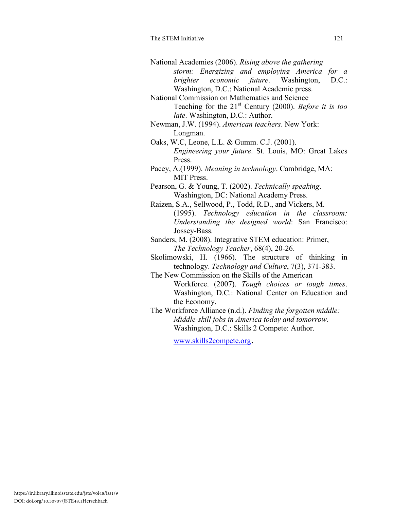National Academies (2006). *Rising above the gathering storm: Energizing and employing America for a brighter economic future*. Washington, D.C.: Washington, D.C.: National Academic press.

National Commission on Mathematics and Science Teaching for the 21st Century (2000). *Before it is too late*. Washington, D.C.: Author.

- Newman, J.W. (1994). *American teachers*. New York: Longman.
- Oaks, W.C, Leone, L.L. & Gumm. C.J. (2001). *Engineering your future*. St. Louis, MO: Great Lakes Press.
- Pacey, A.(1999). *Meaning in technology*. Cambridge, MA: MIT Press.
- Pearson, G. & Young, T. (2002). *Technically speaking*. Washington, DC: National Academy Press.
- Raizen, S.A., Sellwood, P., Todd, R.D., and Vickers, M. (1995). *Technology education in the classroom: Understanding the designed world*: San Francisco: Jossey-Bass.
- Sanders, M. (2008). Integrative STEM education: Primer, *The Technology Teacher*, 68(4), 20-26.
- Skolimowski, H. (1966). The structure of thinking in technology. *Technology and Culture*, 7(3), 371-383.
- The New Commission on the Skills of the American Workforce. (2007). *Tough choices or tough times*. Washington, D.C.: National Center on Education and the Economy.
- The Workforce Alliance (n.d.). *Finding the forgotten middle: Middle-skill jobs in America today and tomorrow*. Washington, D.C.: Skills 2 Compete: Author.

[www.skills2compete.org.](http://www.skills2compete.org/)